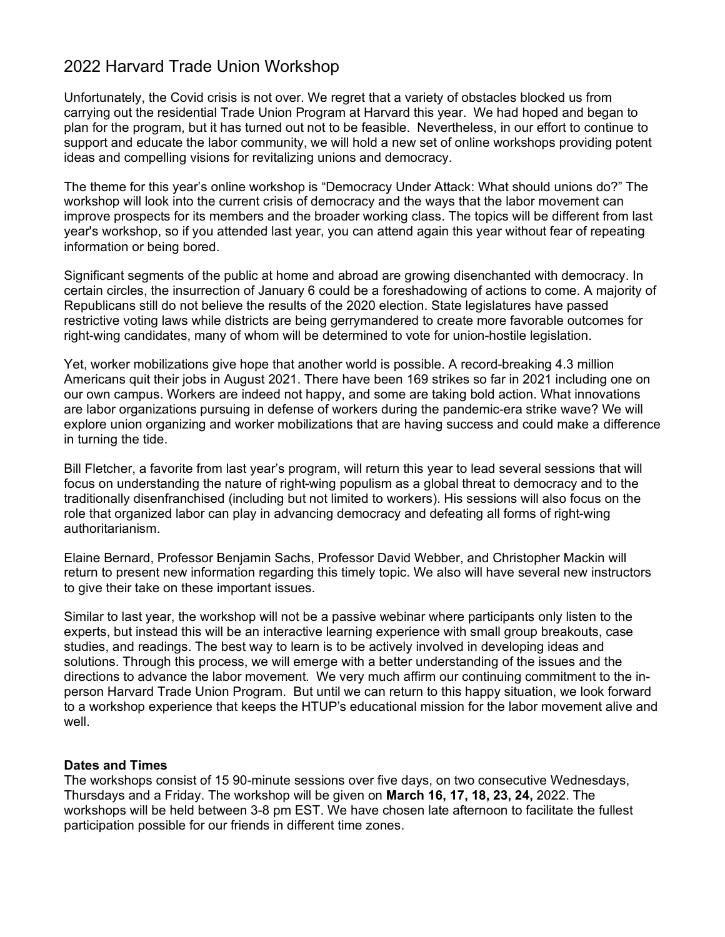# 2022 Harvard Trade Union Workshop

Unfortunately, the Covid crisis is not over. We regret that a variety of obstacles blocked us from carrying out the residential Trade Union Program at Harvard this year. We had hoped and began to plan for the program, but it has turned out not to be feasible. Nevertheless, in our effort to continue to support and educate the labor community, we will hold a new set of online workshops providing potent ideas and compelling visions for revitalizing unions and democracy.

The theme for this year's online workshop is "Democracy Under Attack: What should unions do?" The workshop will look into the current crisis of democracy and the ways that the labor movement can improve prospects for its members and the broader working class. The topics will be different from last year's workshop, so if you attended last year, you can attend again this year without fear of repeating information or being bored.

Significant segments of the public at home and abroad are growing disenchanted with democracy. In certain circles, the insurrection of January 6 could be a foreshadowing of actions to come. A majority of Republicans still do not believe the results of the 2020 election. State legislatures have passed restrictive voting laws while districts are being gerrymandered to create more favorable outcomes for right-wing candidates, many of whom will be determined to vote for union-hostile legislation.

Yet, worker mobilizations give hope that another world is possible. A record-breaking 4.3 million Americans quit their jobs in August 2021. There have been 169 strikes so far in 2021 including one on our own campus. Workers are indeed not happy, and some are taking bold action. What innovations are labor organizations pursuing in defense of workers during the pandemic-era strike wave? We will explore union organizing and worker mobilizations that are having success and could make a difference in turning the tide.

Bill Fletcher, a favorite from last year's program, will return this year to lead several sessions that will focus on understanding the nature of right-wing populism as a global threat to democracy and to the traditionally disenfranchised (including but not limited to workers). His sessions will also focus on the role that organized labor can play in advancing democracy and defeating all forms of right-wing authoritarianism.

Elaine Bernard, Professor Benjamin Sachs, Professor David Webber, and Christopher Mackin will return to present new information regarding this timely topic. We also will have several new instructors to give their take on these important issues.

Similar to last year, the workshop will not be a passive webinar where participants only listen to the experts, but instead this will be an interactive learning experience with small group breakouts, case studies, and readings. The best way to learn is to be actively involved in developing ideas and solutions. Through this process, we will emerge with a better understanding of the issues and the directions to advance the labor movement. We very much affirm our continuing commitment to the inperson Harvard Trade Union Program. But until we can return to this happy situation, we look forward to a workshop experience that keeps the HTUP's educational mission for the labor movement alive and well.

#### **Dates and Times**

The workshops consist of 15 90-minute sessions over five days, on two consecutive Wednesdays, Thursdays and a Friday. The workshop will be given on **March 16, 17, 18, 23, 24,** 2022. The workshops will be held between 3-8 pm EST. We have chosen late afternoon to facilitate the fullest participation possible for our friends in different time zones.